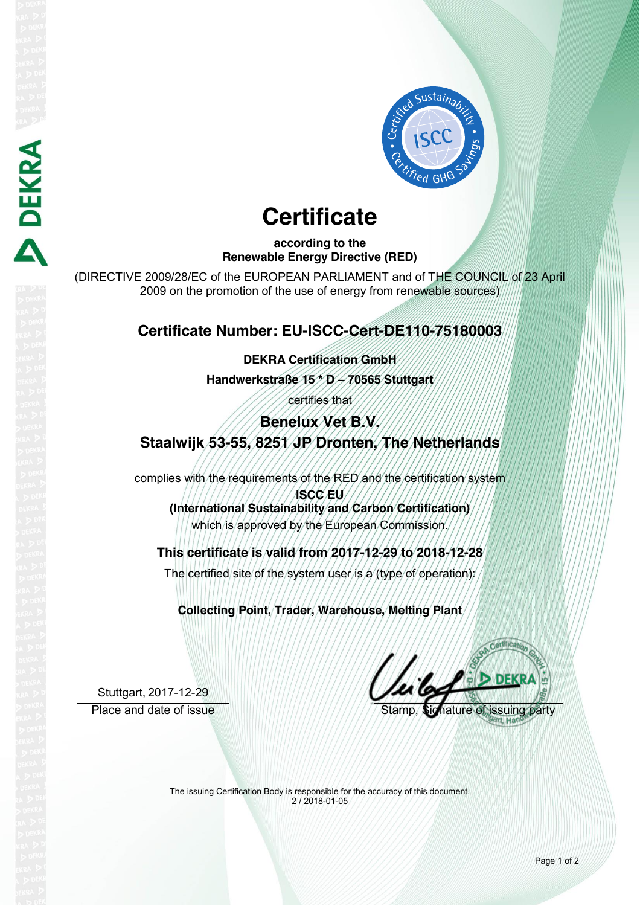

# **Certificate**

**according to the Renewable Energy Directive (RED)**

(DIRECTIVE 2009/28/EC of the EUROPEAN PARLIAMENT and of THE COUNCIL of 23 April 2009 on the promotion of the use of energy from renewable sources)

### **Certificate Number: EU-ISCC-Cert-DE110-75180003**

**DEKRA Certification GmbH**

**Handwerkstraße 15 \* D – 70565 Stuttgart**

certifies that

## **Benelux Vet B.V. Staalwijk 53-55, 8251 JP Dronten, The Netherlands**

complies with the requirements of the RED and the certification system **ISCC EU (International Sustainability and Carbon Certification)**

which is approved by the European Commission.

**This certificate is valid from 2017-12-29 to 2018-12-28**

The certified site of the system user is a (type of operation):

**Collecting Point, Trader, Warehouse, Melting Plant**

Stuttgart, 2017-12-29 Place and date of issue Stamp, Signature of issue Stamp, Signature of

**DEKRA** 

The issuing Certification Body is responsible for the accuracy of this document. 2 / 2018-01-05